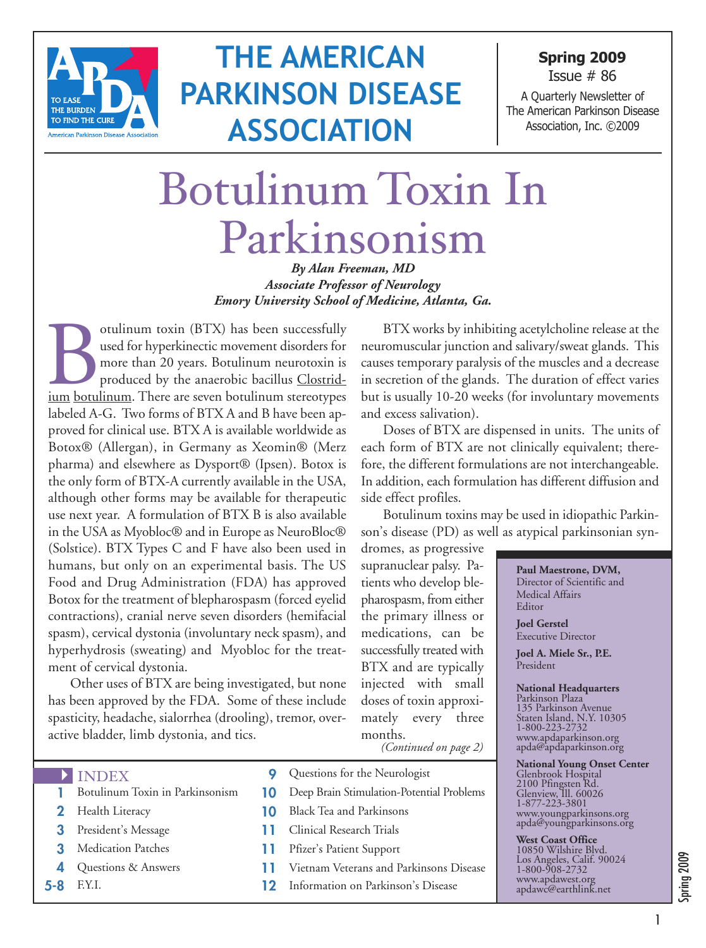

## **THE AMERICAN PARKINSON DISEASE ASSOCIATION**

**Spring 2009** Issue # 86

A Quarterly Newsletter of The American Parkinson Disease Association, Inc. ©2009

# Botulinum Toxin In Parkinsonism

*By Alan Freeman, MD Associate Professor of Neurology Emory University School of Medicine, Atlanta, Ga.*

ICC of the successfully used for hyperkinectic movement disorders for more than 20 years. Botulinum neurotoxin is produced by the anaerobic bacillus Clostrid-ium botulinum. There are seven botulinum stereotypes used for hyperkinectic movement disorders for more than 20 years. Botulinum neurotoxin is produced by the anaerobic bacillus Clostridlabeled A-G. Two forms of BTX A and B have been approved for clinical use. BTX A is available worldwide as Botox® (Allergan), in Germany as Xeomin® (Merz pharma) and elsewhere as Dysport® (Ipsen). Botox is the only form of BTX-A currently available in the USA, although other forms may be available for therapeutic use next year. A formulation of BTX B is also available in the USA as Myobloc® and in Europe as NeuroBloc® (Solstice). BTX Types C and F have also been used in humans, but only on an experimental basis. The US Food and Drug Administration (FDA) has approved Botox for the treatment of blepharospasm (forced eyelid contractions), cranial nerve seven disorders (hemifacial spasm), cervical dystonia (involuntary neck spasm), and hyperhydrosis (sweating) and Myobloc for the treatment of cervical dystonia.

Other uses of BTX are being investigated, but none has been approved by the FDA. Some of these include spasticity, headache, sialorrhea (drooling), tremor, overactive bladder, limb dystonia, and tics.

BTX works by inhibiting acetylcholine release at the neuromuscular junction and salivary/sweat glands. This causes temporary paralysis of the muscles and a decrease in secretion of the glands. The duration of effect varies but is usually 10-20 weeks (for involuntary movements and excess salivation).

Doses of BTX are dispensed in units. The units of each form of BTX are not clinically equivalent; therefore, the different formulations are not interchangeable. In addition, each formulation has different diffusion and side effect profiles.

Botulinum toxins may be used in idiopathic Parkinson's disease (PD) as well as atypical parkinsonian syn-

dromes, as progressive supranuclear palsy. Patients who develop blepharospasm, from either the primary illness or medications, can be successfully treated with BTX and are typically injected with small doses of toxin approximately every three months. *(Continued on page 2)*

1-800-223-2732 www.apdaparkinson.org apda@apdaparkinson.org

<sup>2100</sup> Pfingsten Rd. Glenview, Ill. <sup>60026</sup>

**National Young Onset Center** Glenbrook Hospital

1-877-223-3801 www.youngparkinsons.org apda@youngparkinsons.org

**West Coast Office** <sup>10850</sup> Wilshire Blvd. Los Angeles, Calif. <sup>90024</sup>

1-800-908-2732 www.apdawest.org apdawc@earthlink.net

4 INDEX

- **1** Botulinum Toxin in Parkinsonism
- **2** Health Literacy
- **3** President's Message
- **3** Medication Patches
- **4** Questions & Answers
- 
- **9** Questions for the Neurologist
- **10** Deep Brain Stimulation-Potential Problems
- **10** Black Tea and Parkinsons
- **11** Clinical Research Trials
- **11** Pfizer's Patient Support
- **11** Vietnam Veterans and Parkinsons Disease
- **5-8** F.Y.I. **12** Information on Parkinson's Disease

**Paul Maestrone, DVM,** Director of Scientific and Medical Affairs Editor

**Joel Gerstel** Executive Director

**Joel A. Miele Sr., P.E.** President

**National Headquarters** Parkinson Plaza <sup>135</sup> Parkinson Avenue Staten Island, N.Y. <sup>10305</sup>

# Spring 2009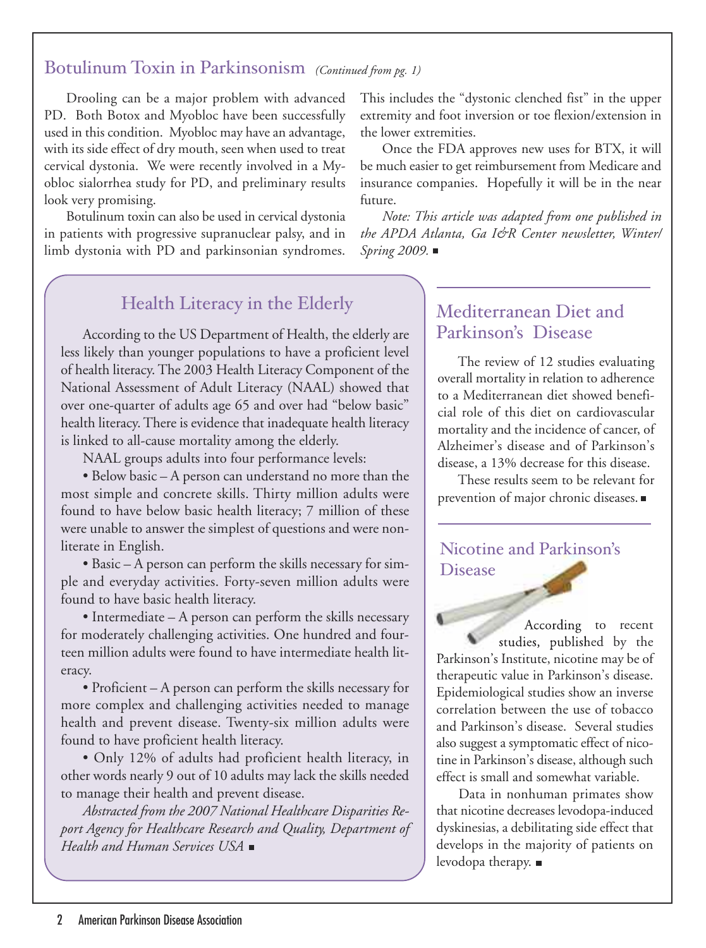#### Botulinum Toxin in Parkinsonism *(Continued from pg. 1)*

Drooling can be a major problem with advanced PD. Both Botox and Myobloc have been successfully used in this condition. Myobloc may have an advantage, with its side effect of dry mouth, seen when used to treat cervical dystonia. We were recently involved in a Myobloc sialorrhea study for PD, and preliminary results look very promising.

Botulinum toxin can also be used in cervical dystonia in patients with progressive supranuclear palsy, and in limb dystonia with PD and parkinsonian syndromes.

#### Health Literacy in the Elderly

According to the US Department of Health, the elderly are less likely than younger populations to have a proficient level of health literacy.The 2003 Health Literacy Component of the National Assessment of Adult Literacy (NAAL) showed that over one-quarter of adults age 65 and over had "below basic" health literacy.There is evidence that inadequate health literacy is linked to all-cause mortality among the elderly.

NAAL groups adults into four performance levels:

• Below basic – A person can understand no more than the most simple and concrete skills. Thirty million adults were found to have below basic health literacy; 7 million of these were unable to answer the simplest of questions and were nonliterate in English.

• Basic – A person can perform the skills necessary for simple and everyday activities. Forty-seven million adults were found to have basic health literacy.

• Intermediate – A person can perform the skills necessary for moderately challenging activities. One hundred and fourteen million adults were found to have intermediate health literacy.

• Proficient – A person can perform the skills necessary for more complex and challenging activities needed to manage health and prevent disease. Twenty-six million adults were found to have proficient health literacy.

• Only 12% of adults had proficient health literacy, in other words nearly 9 out of 10 adults may lack the skills needed to manage their health and prevent disease.

*Abstracted from the 2007 National Healthcare Disparities Report Agency for Healthcare Research and Quality, Department of Health and Human Services USA*

This includes the "dystonic clenched fist" in the upper extremity and foot inversion or toe flexion/extension in the lower extremities.

Once the FDA approves new uses for BTX, it will be much easier to get reimbursement from Medicare and insurance companies. Hopefully it will be in the near future.

*Note: This article was adapted from one published in the APDA Atlanta, Ga I&R Center newsletter, Winter/ Spring 2009.*

#### Mediterranean Diet and Parkinson's Disease

The review of 12 studies evaluating overall mortality in relation to adherence to a Mediterranean diet showed beneficial role of this diet on cardiovascular mortality and the incidence of cancer, of Alzheimer's disease and of Parkinson's disease, a 13% decrease for this disease.

These results seem to be relevant for prevention of major chronic diseases.

#### Nicotine and Parkinson's Disease

According to recent studies, published by the Parkinson's Institute, nicotine may be of therapeutic value in Parkinson's disease. Epidemiological studies show an inverse correlation between the use of tobacco and Parkinson's disease. Several studies also suggest a symptomatic effect of nicotine in Parkinson's disease, although such effect is small and somewhat variable.

Data in nonhuman primates show that nicotine decreases levodopa-induced dyskinesias, a debilitating side effect that develops in the majority of patients on levodopa therapy.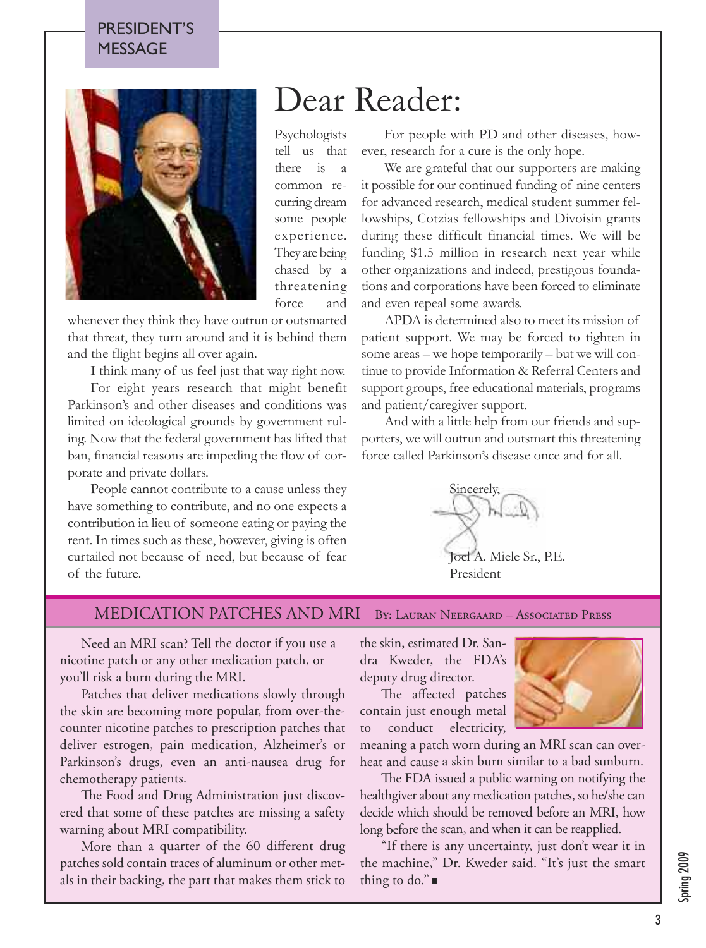#### PRESIDENT'S MESSAGE



Psychologists tell us that there is a common recurring dream some people experience. They are being chased by a threatening force and

whenever they think they have outrun or outsmarted that threat, they turn around and it is behind them and the flight begins all over again.

I think many of us feel just that way right now.

For eight years research that might benefit Parkinson's and other diseases and conditions was limited on ideological grounds by government ruling. Now that the federal government has lifted that ban, financial reasons are impeding the flow of corporate and private dollars.

People cannot contribute to a cause unless they have something to contribute, and no one expects a contribution in lieu of someone eating or paying the rent. In times such as these, however, giving is often curtailed not because of need, but because of fear of the future.

## Dear Reader:

For people with PD and other diseases, however, research for a cure is the only hope.

We are grateful that our supporters are making it possible for our continued funding of nine centers for advanced research, medical student summer fellowships, Cotzias fellowships and Divoisin grants during these difficult financial times. We will be funding \$1.5 million in research next year while other organizations and indeed, prestigous foundations and corporations have been forced to eliminate and even repeal some awards.

APDA is determined also to meet its mission of patient support. We may be forced to tighten in some areas – we hope temporarily – but we will continue to provide Information & Referral Centers and support groups, free educational materials, programs and patient/caregiver support.

And with a little help from our friends and supporters, we will outrun and outsmart this threatening force called Parkinson's disease once and for all.

Sincerely, Joel A. Miele Sr., P.E. President

MEDICATION PATCHES AND MRI By: Lauran Neergaard – Associated Press

Need an MRI scan? Tell the doctor if you use <sup>a</sup> nicotine patch or any other medication patch, or you'll risk <sup>a</sup> burn during the MRI.

Patches that deliver medications slowly through the skin are becoming more popular, from over-thecounter nicotine patches to prescription patches that deliver estrogen, pain medication, Alzheimer's or Parkinson's drugs, even an anti-nausea drug for chemotherapy patients.

The Food and Drug Administration just discovered that some of these patches are missing <sup>a</sup> safety warning about MRI compatibility.

More than <sup>a</sup> quarter of the 60 different drug patches sold contain traces of aluminum or other metals in their backing, the part that makes them stick to

the skin, estimated Dr. Sandra Kweder, the FDA's deputy drug director.

The affected patches contain just enough metal to conduct electricity,



meaning <sup>a</sup> patch worn during an MRI scan can overheat and cause <sup>a</sup> skin burn similar to <sup>a</sup> bad sunburn.

The FDA issued a public warning on notifying the healthgiver about any medication patches, so he/she can decide which should be removed before an MRI, how long before the scan, and when it can be reapplied.

"If there is any uncertainty, just don't wear it in the machine," Dr. Kweder said. "It's just the smart thing to do." $\blacksquare$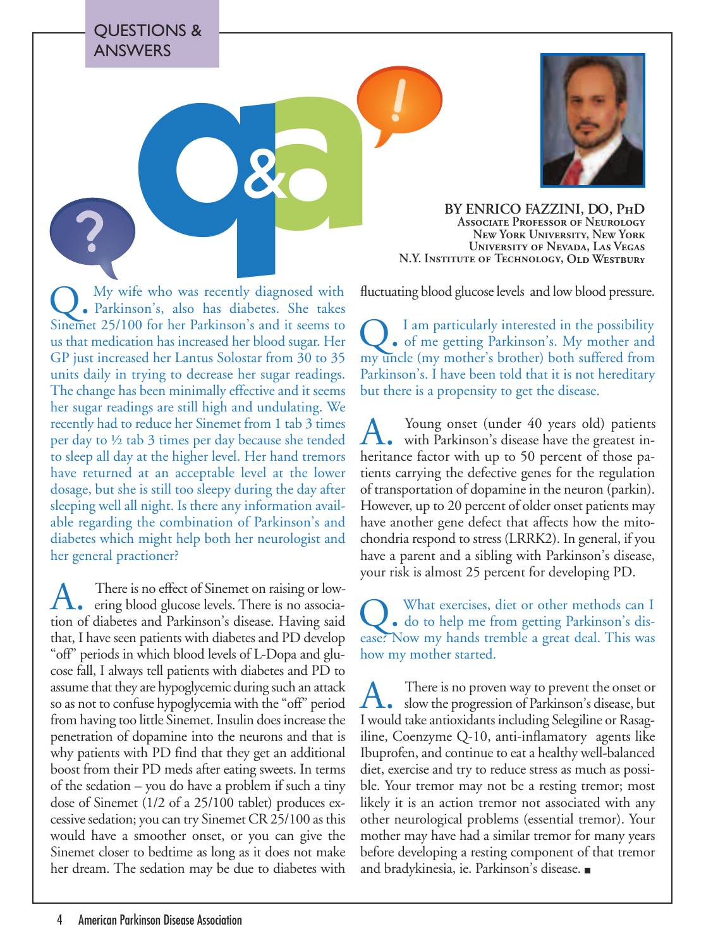QUESTIONS & ANSWERS

Q. My wife who was recently diagnosed with Parkinson's, also has diabetes. She takes Sinemet 25/100 for her Parkinson's and it seems to us that medication has increased her blood sugar. Her GP just increased her Lantus Solostar from 30 to 35 units daily in trying to decrease her sugar readings. The change has been minimally effective and it seems her sugar readings are still high and undulating. We recently had to reduce her Sinemet from 1 tab 3 times per day to ½ tab 3 times per day because she tended to sleep all day at the higher level. Her hand tremors have returned at an acceptable level at the lower dosage, but she is still too sleepy during the day after sleeping well all night. Is there any information available regarding the combination of Parkinson's and diabetes which might help both her neurologist and her general practioner?

A. There is no effect of Sinemet on raising or low-<br>ering blood glucose levels. There is no association of diabetes and Parkinson's disease. Having said that, I have seen patients with diabetes and PD develop "off" periods in which blood levels of L-Dopa and glucose fall, I always tell patients with diabetes and PD to assume that they are hypoglycemic during such an attack so as not to confuse hypoglycemia with the "off" period from having too little Sinemet. Insulin does increase the penetration of dopamine into the neurons and that is why patients with PD find that they get an additional boost from their PD meds after eating sweets. In terms of the sedation – you do have a problem if such a tiny dose of Sinemet (1/2 of a 25/100 tablet) produces excessive sedation; you can try Sinemet CR 25/100 as this would have a smoother onset, or you can give the Sinemet closer to bedtime as long as it does not make her dream. The sedation may be due to diabetes with



**Associate Professor of Neurology New York University, New York University of Nevada, Las Vegas N.Y. Institute of Technology, Old Westbur<sup>y</sup>**

fluctuating blood glucose levels and low blood pressure.

Q. I am particularly interested in the possibility of me getting Parkinson's. My mother and my uncle (my mother's brother) both suffered from Parkinson's. I have been told that it is not hereditary but there is a propensity to get the disease.

A. Young onset (under 40 years old) patients<br>with Parkinson's disease have the greatest inheritance factor with up to 50 percent of those patients carrying the defective genes for the regulation of transportation of dopamine in the neuron (parkin). However, up to 20 percent of older onset patients may have another gene defect that affects how the mitochondria respond to stress (LRRK2). In general, if you have a parent and a sibling with Parkinson's disease, your risk is almost 25 percent for developing PD.

Q. What exercises, diet or other methods can I do to help me from getting Parkinson's disease? Now my hands tremble a great deal. This was how my mother started.

A. There is no proven way to prevent the onset or<br>slow the progression of Parkinson's disease, but I would take antioxidants including Selegiline or Rasagiline, Coenzyme Q-10, anti-inflamatory agents like Ibuprofen, and continue to eat a healthy well-balanced diet, exercise and try to reduce stress as much as possible. Your tremor may not be a resting tremor; most likely it is an action tremor not associated with any other neurological problems (essential tremor). Your mother may have had a similar tremor for many years before developing a resting component of that tremor and bradykinesia, ie. Parkinson's disease.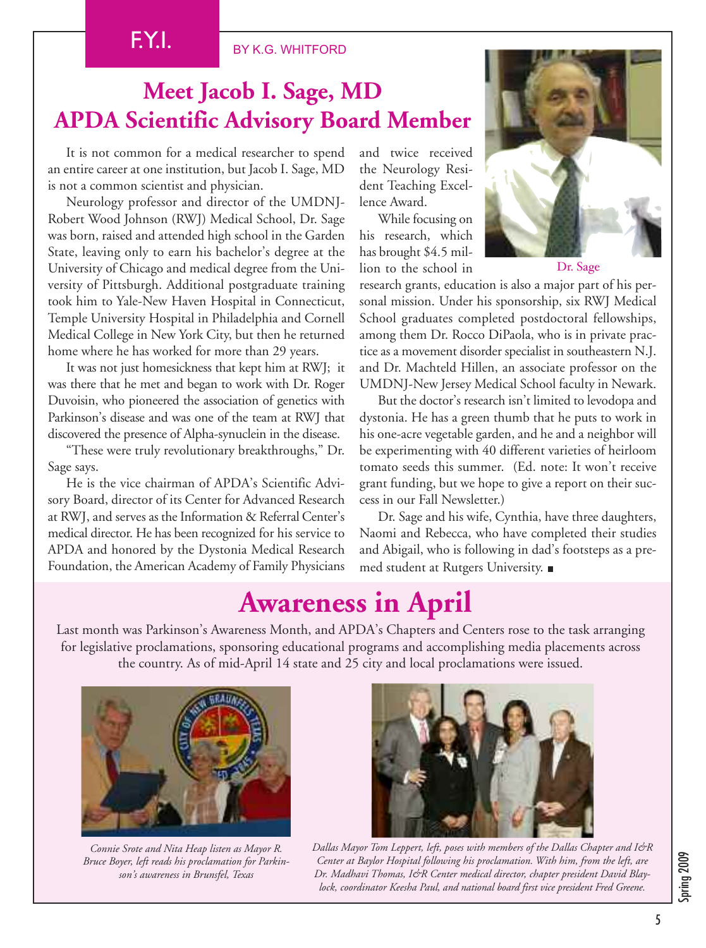#### BY K.G. WHITFORD

## **Meet Jacob I. Sage, MD APDA Scientific Advisory Board Member**

It is not common for a medical researcher to spend an entire career at one institution, but Jacob I. Sage, MD is not a common scientist and physician.

Neurology professor and director of the UMDNJ-Robert Wood Johnson (RWJ) Medical School, Dr. Sage was born, raised and attended high school in the Garden State, leaving only to earn his bachelor's degree at the University of Chicago and medical degree from the University of Pittsburgh. Additional postgraduate training took him to Yale-New Haven Hospital in Connecticut, Temple University Hospital in Philadelphia and Cornell Medical College in New York City, but then he returned home where he has worked for more than 29 years.

It was not just homesickness that kept him at RWJ; it was there that he met and began to work with Dr. Roger Duvoisin, who pioneered the association of genetics with Parkinson's disease and was one of the team at RWJ that discovered the presence of Alpha-synuclein in the disease.

"These were truly revolutionary breakthroughs," Dr. Sage says.

He is the vice chairman of APDA's Scientific Advisory Board, director of its Center for Advanced Research at RWJ, and serves as the Information & Referral Center's medical director. He has been recognized for his service to APDA and honored by the Dystonia Medical Research Foundation, the American Academy of Family Physicians

and twice received the Neurology Resident Teaching Excellence Award.

While focusing on his research, which has brought \$4.5 million to the school in



Dr. Sage

research grants, education is also a major part of his personal mission. Under his sponsorship, six RWJ Medical School graduates completed postdoctoral fellowships, among them Dr. Rocco DiPaola, who is in private practice as a movement disorder specialist in southeastern N.J. and Dr. Machteld Hillen, an associate professor on the UMDNJ-New Jersey Medical School faculty in Newark.

But the doctor's research isn't limited to levodopa and dystonia. He has a green thumb that he puts to work in his one-acre vegetable garden, and he and a neighbor will be experimenting with 40 different varieties of heirloom tomato seeds this summer. (Ed. note: It won't receive grant funding, but we hope to give a report on their success in our Fall Newsletter.)

Dr. Sage and his wife, Cynthia, have three daughters, Naomi and Rebecca, who have completed their studies and Abigail, who is following in dad's footsteps as a premed student at Rutgers University.

## **Awareness in April**

Last month was Parkinson's Awareness Month, and APDA's Chapters and Centers rose to the task arranging for legislative proclamations, sponsoring educational programs and accomplishing media placements across the country. As of mid-April 14 state and 25 city and local proclamations were issued.



*Connie Srote and Nita Heap listen as Mayor R. Bruce Boyer, left reads his proclamation for Parkinson's awareness in Brunsfel, Texas*



*Dallas Mayor Tom Leppert, left, poses with members of the Dallas Chapter and I&R Center at Baylor Hospital following his proclamation. With him, from the left, are Dr. Madhavi Thomas, I&R Center medical director, chapter president David Blaylock, coordinator Keesha Paul, and national board first vice president Fred Greene.*

Spring 2009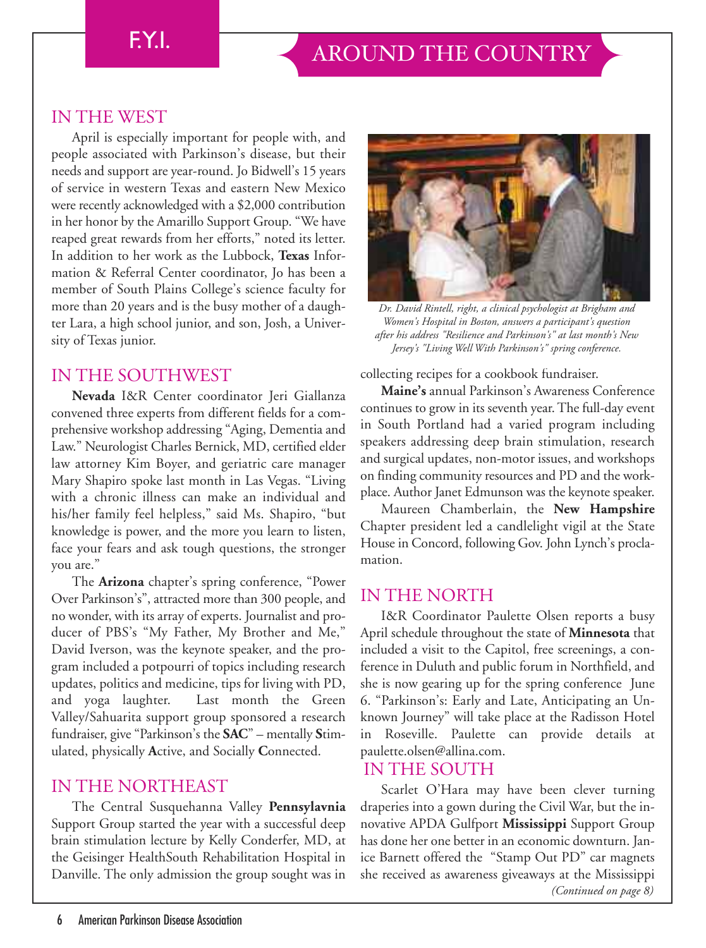#### IN THE WEST

April is especially important for people with, and people associated with Parkinson's disease, but their needs and support are year-round. Jo Bidwell's 15 years of service in western Texas and eastern New Mexico were recently acknowledged with a \$2,000 contribution in her honor by the Amarillo Support Group. "We have reaped great rewards from her efforts," noted its letter. In addition to her work as the Lubbock, **Texas** Information & Referral Center coordinator, Jo has been a member of South Plains College's science faculty for more than 20 years and is the busy mother of a daughter Lara, a high school junior, and son, Josh, a University of Texas junior.

#### IN THE SOUTHWEST

**Nevada** I&R Center coordinator Jeri Giallanza convened three experts from different fields for a comprehensive workshop addressing "Aging, Dementia and Law." Neurologist Charles Bernick, MD, certified elder law attorney Kim Boyer, and geriatric care manager Mary Shapiro spoke last month in Las Vegas. "Living with a chronic illness can make an individual and his/her family feel helpless," said Ms. Shapiro, "but knowledge is power, and the more you learn to listen, face your fears and ask tough questions, the stronger you are."

The **Arizona** chapter's spring conference, "Power Over Parkinson's", attracted more than 300 people, and no wonder, with its array of experts. Journalist and producer of PBS's "My Father, My Brother and Me," David Iverson, was the keynote speaker, and the program included a potpourri of topics including research updates, politics and medicine, tips for living with PD, and yoga laughter. Last month the Green Valley/Sahuarita support group sponsored a research fundraiser, give "Parkinson's the **SAC**" – mentally **S**timulated, physically **A**ctive, and Socially **C**onnected.

#### IN THE NORTHEAST

The Central Susquehanna Valley **Pennsylavnia** Support Group started the year with a successful deep brain stimulation lecture by Kelly Conderfer, MD, at the Geisinger HealthSouth Rehabilitation Hospital in Danville. The only admission the group sought was in



*Dr. David Rintell, right, a clinical psychologist at Brigham and Women's Hospital in Boston, answers a participant's question after his address "Resilience and Parkinson's" at last month's New Jersey's "Living Well With Parkinson's" spring conference.*

collecting recipes for a cookbook fundraiser.

**Maine's** annual Parkinson's Awareness Conference continues to grow in its seventh year.The full-day event in South Portland had a varied program including speakers addressing deep brain stimulation, research and surgical updates, non-motor issues, and workshops on finding community resources and PD and the workplace. Author Janet Edmunson was the keynote speaker.

Maureen Chamberlain, the **New Hampshire** Chapter president led a candlelight vigil at the State House in Concord, following Gov. John Lynch's proclamation.

#### IN THE NORTH

I&R Coordinator Paulette Olsen reports a busy April schedule throughout the state of **Minnesota** that included a visit to the Capitol, free screenings, a conference in Duluth and public forum in Northfield, and she is now gearing up for the spring conference June 6. "Parkinson's: Early and Late, Anticipating an Unknown Journey" will take place at the Radisson Hotel in Roseville. Paulette can provide details at paulette.olsen@allina.com.

#### IN THE SOUTH

Scarlet O'Hara may have been clever turning draperies into a gown during the Civil War, but the innovative APDA Gulfport **Mississippi** Support Group has done her one better in an economic downturn. Janice Barnett offered the "Stamp Out PD" car magnets she received as awareness giveaways at the Mississippi *(Continued on page 8)*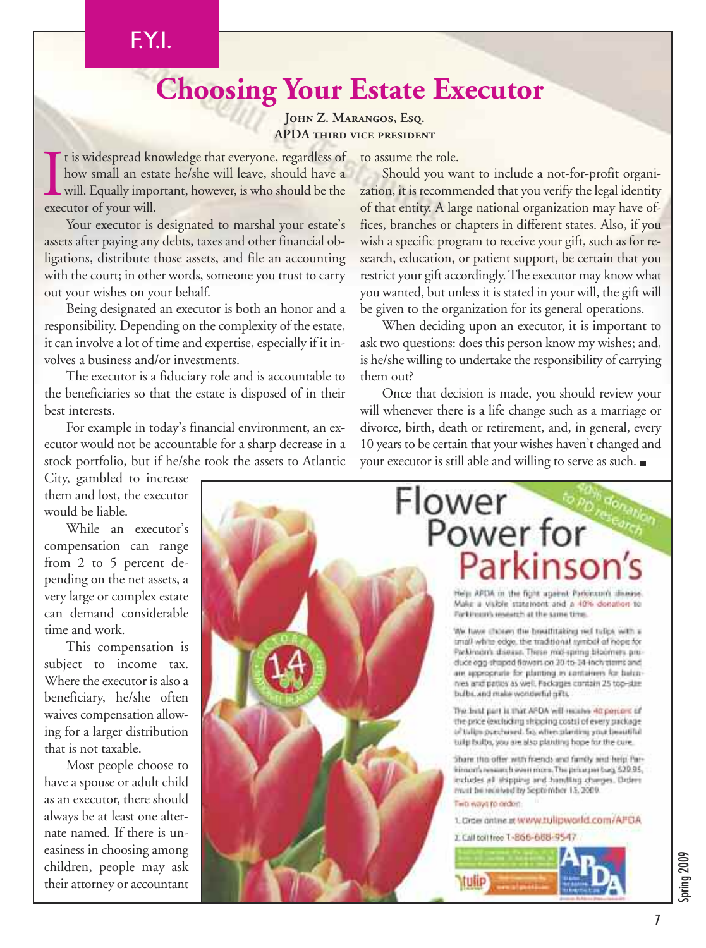## FYI.

## **Choosing Your Estate Executor**

#### **John Z. Marangos, Esq. APDA third vice president**

I t is widespread kn<br>how small an est.<br>will. Equally impo<br>executor of your will. t is widespread knowledge that everyone, regardless of how small an estate he/she will leave, should have a will. Equally important, however, is who should be the

Your executor is designated to marshal your estate's assets after paying any debts, taxes and other financial obligations, distribute those assets, and file an accounting with the court; in other words, someone you trust to carry out your wishes on your behalf.

Being designated an executor is both an honor and a responsibility. Depending on the complexity of the estate, it can involve a lot of time and expertise, especially if it involves a business and/or investments.

The executor is a fiduciary role and is accountable to the beneficiaries so that the estate is disposed of in their best interests.

For example in today's financial environment, an executor would not be accountable for a sharp decrease in a stock portfolio, but if he/she took the assets to Atlantic

City, gambled to increase them and lost, the executor would be liable.

While an executor's compensation can range from 2 to 5 percent depending on the net assets, a very large or complex estate can demand considerable time and work.

This compensation is subject to income tax. Where the executor is also a beneficiary, he/she often waives compensation allowing for a larger distribution that is not taxable.

Most people choose to have a spouse or adult child as an executor, there should always be at least one alternate named. If there is uneasiness in choosing among children, people may ask their attorney or accountant

to assume the role.

Should you want to include a not-for-profit organization, it is recommended that you verify the legal identity of that entity. A large national organization may have offices, branches or chapters in different states. Also, if you wish a specific program to receive your gift, such as for research, education, or patient support, be certain that you restrict your gift accordingly. The executor may know what you wanted, but unless it is stated in your will, the gift will be given to the organization for its general operations.

When deciding upon an executor, it is important to ask two questions: does this person know my wishes; and, is he/she willing to undertake the responsibility of carrying them out?

Once that decision is made, you should review your will whenever there is a life change such as a marriage or divorce, birth, death or retirement, and, in general, every 10 years to be certain that your wishes haven't changed and your executor is still able and willing to serve as such.



Spring 2009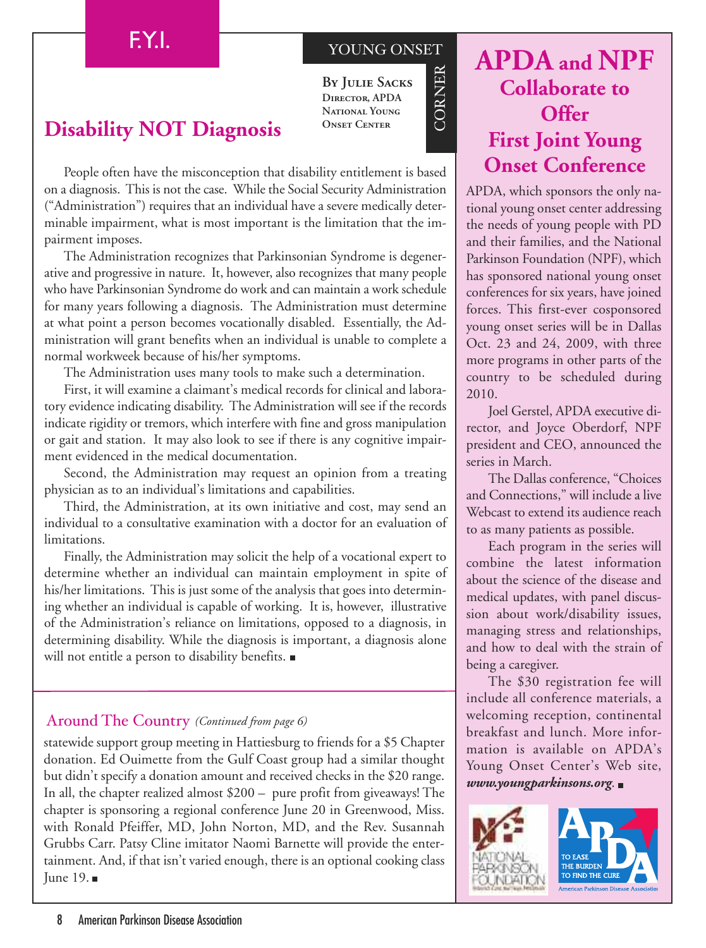#### YOUNG ONSET

 $\circlearrowright$  $\approx$ NER

**By Julie Sacks Director, APDA National Young Onset Center**

### **Disability NOT Diagnosis**

People often have the misconception that disability entitlement is based on a diagnosis. This is not the case. While the Social Security Administration ("Administration") requires that an individual have a severe medically determinable impairment, what is most important is the limitation that the impairment imposes.

The Administration recognizes that Parkinsonian Syndrome is degenerative and progressive in nature. It, however, also recognizes that many people who have Parkinsonian Syndrome do work and can maintain a work schedule for many years following a diagnosis. The Administration must determine at what point a person becomes vocationally disabled. Essentially, the Administration will grant benefits when an individual is unable to complete a normal workweek because of his/her symptoms.

The Administration uses many tools to make such a determination.

First, it will examine a claimant's medical records for clinical and laboratory evidence indicating disability. The Administration will see if the records indicate rigidity or tremors, which interfere with fine and gross manipulation or gait and station. It may also look to see if there is any cognitive impairment evidenced in the medical documentation.

Second, the Administration may request an opinion from a treating physician as to an individual's limitations and capabilities.

Third, the Administration, at its own initiative and cost, may send an individual to a consultative examination with a doctor for an evaluation of limitations.

Finally, the Administration may solicit the help of a vocational expert to determine whether an individual can maintain employment in spite of his/her limitations. This is just some of the analysis that goes into determining whether an individual is capable of working. It is, however, illustrative of the Administration's reliance on limitations, opposed to a diagnosis, in determining disability. While the diagnosis is important, a diagnosis alone will not entitle a person to disability benefits.

#### Around The Country *(Continued from page 6)*

statewide support group meeting in Hattiesburg to friends for a \$5 Chapter donation. Ed Ouimette from the Gulf Coast group had a similar thought but didn't specify a donation amount and received checks in the \$20 range. In all, the chapter realized almost \$200 – pure profit from giveaways! The chapter is sponsoring a regional conference June 20 in Greenwood, Miss. with Ronald Pfeiffer, MD, John Norton, MD, and the Rev. Susannah Grubbs Carr. Patsy Cline imitator Naomi Barnette will provide the entertainment. And, if that isn't varied enough, there is an optional cooking class June 19.

## **APDA and NPF Collaborate to Offer First Joint Young Onset Conference**

APDA, which sponsors the only national young onset center addressing the needs of young people with PD and their families, and the National Parkinson Foundation (NPF), which has sponsored national young onset conferences for six years, have joined forces. This first-ever cosponsored young onset series will be in Dallas Oct. 23 and 24, 2009, with three more programs in other parts of the country to be scheduled during 2010.

Joel Gerstel, APDA executive director, and Joyce Oberdorf, NPF president and CEO, announced the series in March.

The Dallas conference, "Choices and Connections," will include a live Webcast to extend its audience reach to as many patients as possible.

Each program in the series will combine the latest information about the science of the disease and medical updates, with panel discussion about work/disability issues, managing stress and relationships, and how to deal with the strain of being a caregiver.

The \$30 registration fee will include all conference materials, a welcoming reception, continental breakfast and lunch. More information is available on APDA's Young Onset Center's Web site, *www.youngparkinsons.org*.

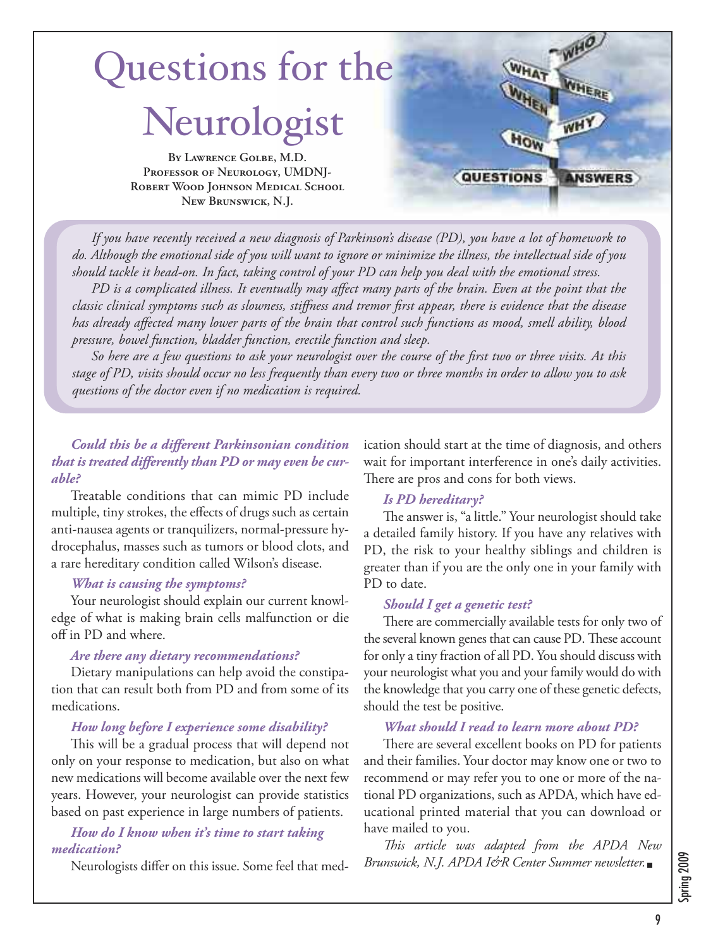

If you have recently received a new diagnosis of Parkinson's disease (PD), you have a lot of homework to do. Although the emotional side of you will want to ignore or minimize the illness, the intellectual side of you should tackle it head-on. In fact, taking control of your PD can help you deal with the emotional stress.

PD is a complicated illness. It eventually may affect many parts of the brain. Even at the point that the classic clinical symptoms such as slowness, stiffness and tremor first appear, there is evidence that the disease has already affected many lower parts of the brain that control such functions as mood, smell ability, blood *pressure, bowel function, bladder function, erectile function and sleep.*

So here are a few questions to ask your neurologist over the course of the first two or three visits. At this stage of PD, visits should occur no less frequently than every two or three months in order to allow you to ask *questions of the doctor even if no medication is required.*

#### *Could this be a different Parkinsonian condition that is treated differently than PD or may even be curable?*

Treatable conditions that can mimic PD include multiple, tiny strokes, the effects of drugs such as certain anti-nausea agents or tranquilizers, normal-pressure hydrocephalus, masses such as tumors or blood clots, and a rare hereditary condition called Wilson's disease.

#### *What is causing the symptoms?*

Your neurologist should explain our current knowledge of what is making brain cells malfunction or die off in PD and where.

#### *Are there any dietary recommendations?*

Dietary manipulations can help avoid the constipation that can result both from PD and from some of its medications.

#### *How long before I experience some disability?*

This will be a gradual process that will depend not only on your response to medication, but also on what new medications will become available over the next few years. However, your neurologist can provide statistics based on past experience in large numbers of patients.

#### *How do I know when it's time to start taking medication?*

Neurologists differ on this issue. Some feel that med-

ication should start at the time of diagnosis, and others wait for important interference in one's daily activities. There are pros and cons for both views.

#### *Is PD hereditary?*

The answer is, "a little." Your neurologist should take a detailed family history. If you have any relatives with PD, the risk to your healthy siblings and children is greater than if you are the only one in your family with PD to date.

#### *Should I get a genetic test?*

There are commercially available tests for only two of the several known genes that can cause PD. These account for only a tiny fraction of all PD. You should discuss with your neurologist what you and your family would do with the knowledge that you carry one of these genetic defects, should the test be positive.

#### *What should I read to learn more about PD?*

There are several excellent books on PD for patients and their families. Your doctor may know one or two to recommend or may refer you to one or more of the national PD organizations, such as APDA, which have educational printed material that you can download or have mailed to you.

*is article was adapted from the APDA New Brunswick, N.J. APDA I&R Center Summer newsletter.*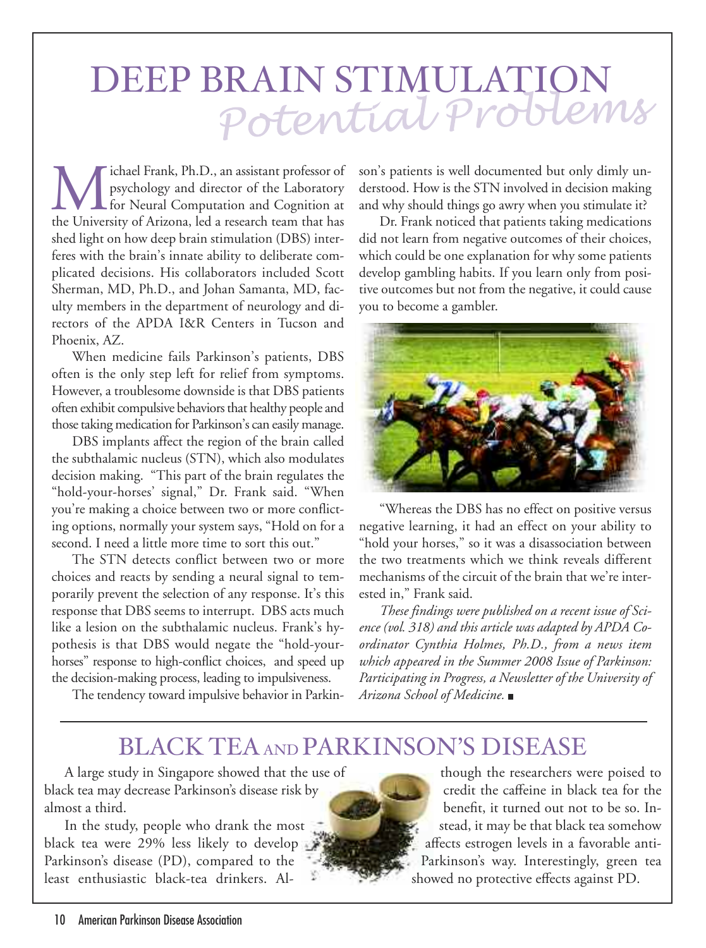# DEEP BRAIN STIMULATION<br>Potential Problems

**MAN** ichael Frank, Ph.D., an assistant professor of psychology and director of the Laboratory for Neural Computation and Cognition at the University of Arizona, led a research team that has psychology and director of the Laboratory for Neural Computation and Cognition at the University of Arizona, led a research team that has shed light on how deep brain stimulation (DBS) interferes with the brain's innate ability to deliberate complicated decisions. His collaborators included Scott Sherman, MD, Ph.D., and Johan Samanta, MD, faculty members in the department of neurology and directors of the APDA I&R Centers in Tucson and Phoenix, AZ.

When medicine fails Parkinson's patients, DBS often is the only step left for relief from symptoms. However, a troublesome downside is that DBS patients often exhibit compulsive behaviors that healthy people and those taking medication for Parkinson's can easily manage.

DBS implants affect the region of the brain called the subthalamic nucleus (STN), which also modulates decision making. "This part of the brain regulates the "hold-your-horses' signal," Dr. Frank said. "When you're making a choice between two or more conflicting options, normally your system says, "Hold on for a second. I need a little more time to sort this out."

The STN detects conflict between two or more choices and reacts by sending a neural signal to temporarily prevent the selection of any response. It's this response that DBS seems to interrupt. DBS acts much like a lesion on the subthalamic nucleus. Frank's hypothesis is that DBS would negate the "hold-yourhorses" response to high-conflict choices, and speed up the decision-making process, leading to impulsiveness.

The tendency toward impulsive behavior in Parkin-

son's patients is well documented but only dimly understood. How is the STN involved in decision making and why should things go awry when you stimulate it?

Dr. Frank noticed that patients taking medications did not learn from negative outcomes of their choices, which could be one explanation for why some patients develop gambling habits. If you learn only from positive outcomes but not from the negative, it could cause you to become a gambler.



"Whereas the DBS has no effect on positive versus negative learning, it had an effect on your ability to "hold your horses," so it was a disassociation between the two treatments which we think reveals different mechanisms of the circuit of the brain that we're interested in," Frank said.

*These findings were published on a recent issue of Science (vol. 318) and this article was adapted by APDA Coordinator Cynthia Holmes, Ph.D., from a news item which appeared in the Summer 2008 Issue of Parkinson: Participating in Progress, a Newsletter of the University of Arizona School of Medicine.*

## BLACK TEAAND PARKINSON'S DISEASE

A large study in Singapore showed that the use of black tea may decrease Parkinson's disease risk by almost a third.

In the study, people who drank the most black tea were 29% less likely to develop Parkinson's disease (PD), compared to the least enthusiastic black-tea drinkers. Al-

though the researchers were poised to credit the caffeine in black tea for the benefit, it turned out not to be so. Instead, it may be that black tea somehow affects estrogen levels in a favorable anti-Parkinson's way. Interestingly, green tea showed no protective effects against PD.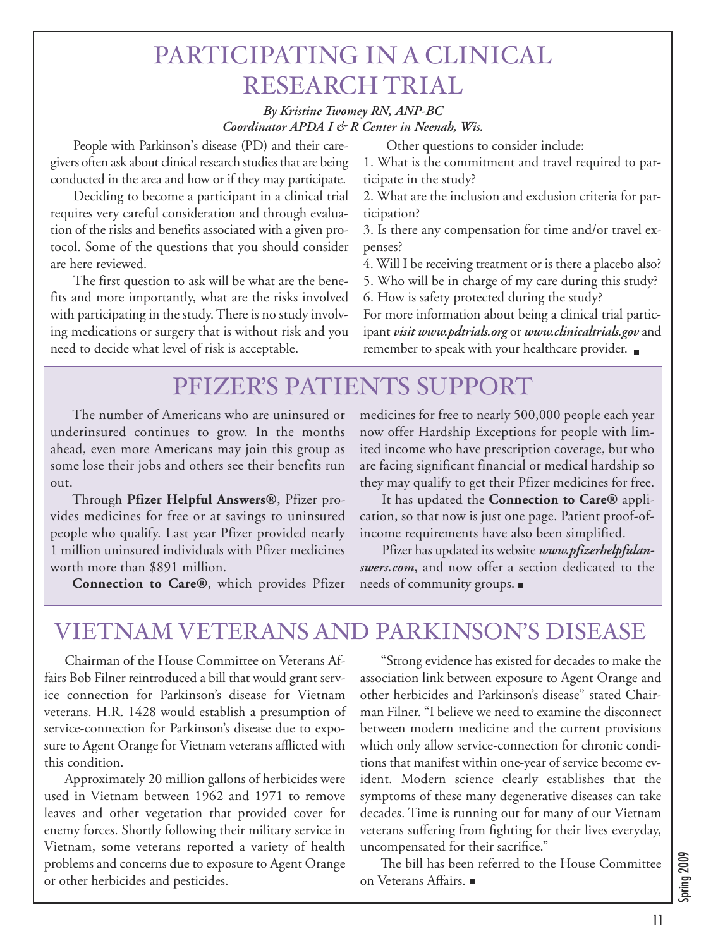## PARTICIPATING IN A CLINICAL RESEARCH TRIAL

#### *By Kristine Twomey RN, ANP-BC Coordinator APDA I & R Center in Neenah, Wis.*

People with Parkinson's disease (PD) and their caregivers often ask about clinical research studies that are being conducted in the area and how or if they may participate.

Deciding to become a participant in a clinical trial requires very careful consideration and through evaluation of the risks and benefits associated with a given protocol. Some of the questions that you should consider are here reviewed.

The first question to ask will be what are the benefits and more importantly, what are the risks involved with participating in the study.There is no study involving medications or surgery that is without risk and you need to decide what level of risk is acceptable.

Other questions to consider include:

1. What is the commitment and travel required to participate in the study?

2. What are the inclusion and exclusion criteria for participation?

3. Is there any compensation for time and/or travel expenses?

4. Will I be receiving treatment or is there a placebo also?

5. Who will be in charge of my care during this study?

6. How is safety protected during the study?

For more information about being a clinical trial participant *visit www.pdtrials.org* or *www.clinicaltrials.gov* and remember to speak with your healthcare provider.

## PFIZER'S PATIENTS SUPPORT

The number of Americans who are uninsured or underinsured continues to grow. In the months ahead, even more Americans may join this group as some lose their jobs and others see their benefits run out.

Through **Pfizer Helpful Answers®**, Pfizer provides medicines for free or at savings to uninsured people who qualify. Last year Pfizer provided nearly 1 million uninsured individuals with Pfizer medicines worth more than \$891 million.

**Connection to Care®**, which provides Pfizer

medicines for free to nearly 500,000 people each year now offer Hardship Exceptions for people with limited income who have prescription coverage, but who are facing significant financial or medical hardship so they may qualify to get their Pfizer medicines for free.

It has updated the **Connection to Care®** application, so that now is just one page. Patient proof-ofincome requirements have also been simplified.

Pfizer has updated its website *www.pfizerhelpfulanswers.com*, and now offer a section dedicated to the needs of community groups.

## VIETNAM VETERANS AND PARKINSON'S DISEASE

Chairman of the House Committee on Veterans Affairs Bob Filner reintroduced a bill that would grant service connection for Parkinson's disease for Vietnam veterans. H.R. 1428 would establish a presumption of service-connection for Parkinson's disease due to exposure to Agent Orange for Vietnam veterans afflicted with this condition.

Approximately 20 million gallons of herbicides were used in Vietnam between 1962 and 1971 to remove leaves and other vegetation that provided cover for enemy forces. Shortly following their military service in Vietnam, some veterans reported a variety of health problems and concerns due to exposure to Agent Orange or other herbicides and pesticides.

"Strong evidence has existed for decades to make the association link between exposure to Agent Orange and other herbicides and Parkinson's disease" stated Chairman Filner. "I believe we need to examine the disconnect between modern medicine and the current provisions which only allow service-connection for chronic conditions that manifest within one-year of service become evident. Modern science clearly establishes that the symptoms of these many degenerative diseases can take decades. Time is running out for many of our Vietnam veterans suffering from fighting for their lives everyday, uncompensated for their sacrifice."

The bill has been referred to the House Committee on Veterans Affairs.